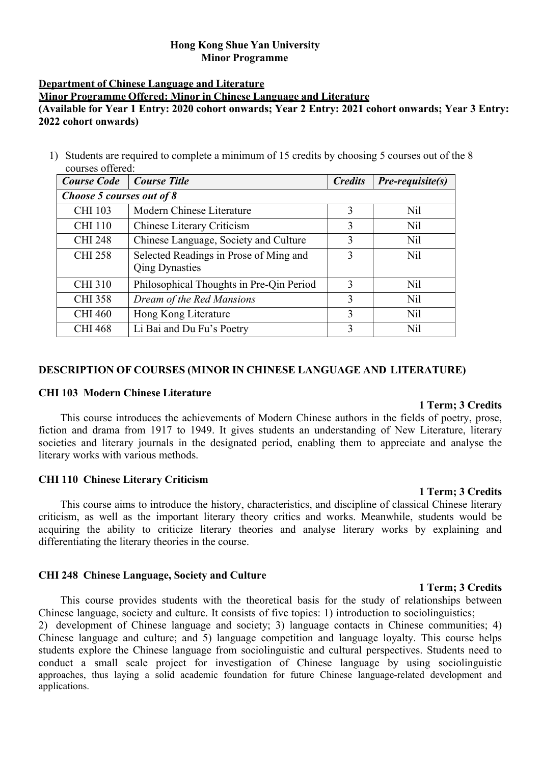# **Hong Kong Shue Yan University Minor Programme**

# **Department of Chinese Language and Literature**

**Minor Programme Offered: Minor in Chinese Language and Literature**

# **(Available for Year 1 Entry: 2020 cohort onwards; Year 2 Entry: 2021 cohort onwards; Year 3 Entry: 2022 cohort onwards)**

1) Students are required to complete a minimum of 15 credits by choosing 5 courses out of the 8 courses offered:

| <b>Course Code</b>        | Course Title                             | <b>Credits</b> | <i>Pre-requisite(s)</i> |
|---------------------------|------------------------------------------|----------------|-------------------------|
| Choose 5 courses out of 8 |                                          |                |                         |
| <b>CHI 103</b>            | Modern Chinese Literature                | 3              | Nil                     |
| <b>CHI 110</b>            | <b>Chinese Literary Criticism</b>        | 3              | Nil                     |
| <b>CHI 248</b>            | Chinese Language, Society and Culture    | 3              | N <sub>il</sub>         |
| <b>CHI 258</b>            | Selected Readings in Prose of Ming and   | 3              | Nil                     |
|                           | <b>Qing Dynasties</b>                    |                |                         |
| <b>CHI 310</b>            | Philosophical Thoughts in Pre-Qin Period | 3              | N <sub>il</sub>         |
| <b>CHI 358</b>            | Dream of the Red Mansions                | 3              | N <sub>il</sub>         |
| <b>CHI 460</b>            | Hong Kong Literature                     | 3              | Nil                     |
| <b>CHI 468</b>            | Li Bai and Du Fu's Poetry                | 3              | Nil                     |

# **DESCRIPTION OF COURSES (MINOR IN CHINESE LANGUAGE AND LITERATURE)**

# **CHI 103 Modern Chinese Literature**

# **1 Term; 3 Credits**

This course introduces the achievements of Modern Chinese authors in the fields of poetry, prose, fiction and drama from 1917 to 1949. It gives students an understanding of New Literature, literary societies and literary journals in the designated period, enabling them to appreciate and analyse the literary works with various methods.

# **CHI 110 Chinese Literary Criticism**

**1 Term; 3 Credits** This course aims to introduce the history, characteristics, and discipline of classical Chinese literary criticism, as well as the important literary theory critics and works. Meanwhile, students would be acquiring the ability to criticize literary theories and analyse literary works by explaining and differentiating the literary theories in the course.

# **CHI 248 Chinese Language, Society and Culture**

This course provides students with the theoretical basis for the study of relationships between Chinese language, society and culture. It consists of five topics: 1) introduction to sociolinguistics;

2) development of Chinese language and society; 3) language contacts in Chinese communities; 4) Chinese language and culture; and 5) language competition and language loyalty. This course helps students explore the Chinese language from sociolinguistic and cultural perspectives. Students need to conduct a small scale project for investigation of Chinese language by using sociolinguistic approaches, thus laying a solid academic foundation for future Chinese language-related development and applications.

#### **1 Term; 3 Credits**